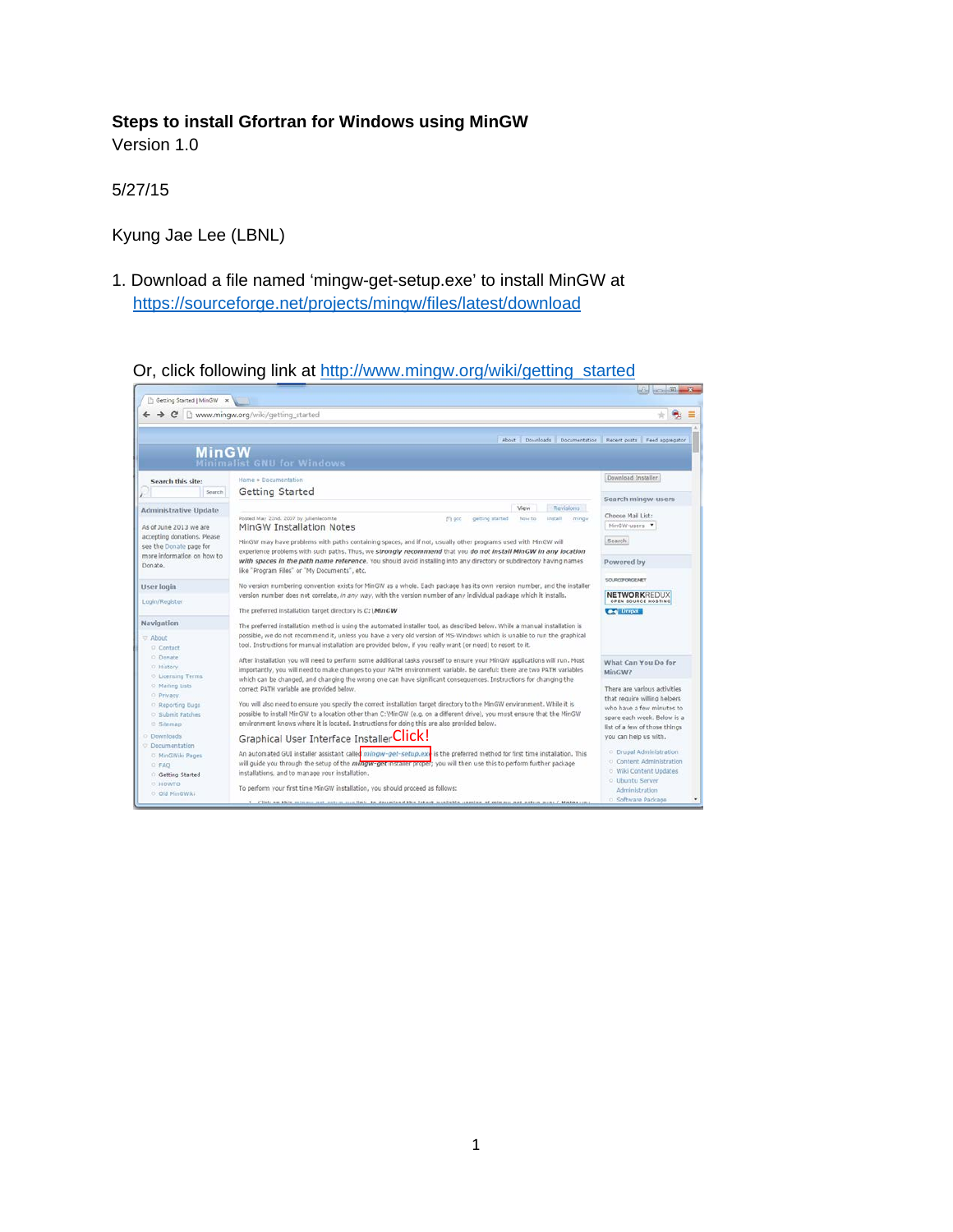### **Steps to install Gfortran for Windows using MinGW**

Version 1.0

5/27/15

Kyung Jae Lee (LBNL)

1. Download a file named 'mingw-get-setup.exe' to install MinGW at <https://sourceforge.net/projects/mingw/files/latest/download>

Or, click following link at [http://www.mingw.org/wiki/getting\\_started](http://www.mingw.org/wiki/getting_started)

| Getting Started   MinGW x     |                                                                                                                                                                                                                                             |                                                  |
|-------------------------------|---------------------------------------------------------------------------------------------------------------------------------------------------------------------------------------------------------------------------------------------|--------------------------------------------------|
|                               | $\rightarrow$ C $\Box$ www.mingw.org/wiki/getting started                                                                                                                                                                                   |                                                  |
|                               |                                                                                                                                                                                                                                             |                                                  |
|                               | About Dounloads Documentation Recent posts Feed aggregator                                                                                                                                                                                  |                                                  |
| <b>MinGW</b>                  |                                                                                                                                                                                                                                             |                                                  |
|                               | <b>Minimalist GNU for Windows</b>                                                                                                                                                                                                           |                                                  |
| Search this site:             | Home » Documentation                                                                                                                                                                                                                        | Download Installer                               |
| Search                        | Getting Started                                                                                                                                                                                                                             |                                                  |
|                               | Revisions                                                                                                                                                                                                                                   | Search mingw-users                               |
| <b>Administrative Update</b>  | View<br>Posted May 22nd, 2007 by julienlecomte<br>Prose to<br><b>Install</b><br>mingie                                                                                                                                                      | Choose Mail List:                                |
| As of June 2013 we are        | getting started<br>$f$ 1 gcc<br>MinGW Installation Notes                                                                                                                                                                                    | MinGW-users                                      |
| accepting donations. Please   |                                                                                                                                                                                                                                             |                                                  |
| see the Donate page for       | MinGW may have problems with paths containing spaces, and if not, usually other programs used with MinGW will                                                                                                                               | Search.                                          |
| more information on how to    | experience problems with such paths. Thus, we strongly recommend that you do not install MinGW in any location<br>with spaces in the path name reference. You should avoid installing into any directory or subdirectory having names       |                                                  |
| Donate,                       | like "Program Files" or "My Documents", etc.                                                                                                                                                                                                | Powered by                                       |
|                               |                                                                                                                                                                                                                                             | SOLRIDFORCE NET                                  |
| User login                    | No version numbering convention exists for MinGW as a whole. Each package has its own version number, and the installer                                                                                                                     |                                                  |
| Login/Register                | version number does not correlate, in any way, with the version number of any individual package which it installs.                                                                                                                         | <b>NETWORKREDUX</b><br>OPEN SOURCE HOSTING       |
|                               | The preferred installation target directory is C: \MinGW                                                                                                                                                                                    | <b>C-4</b> Drupal                                |
| Navigation                    | The preferred installation method is using the automated installer tool, as described below. While a manual installation is                                                                                                                 |                                                  |
|                               | possible, we do not recommend it, unless you have a very old version of MS-Windows which is unable to run the graphical                                                                                                                     |                                                  |
| <b>IT About</b><br>Q. Contact | tool. Instructions for manual installation are provided below. If you really want (or need) to resort to it.                                                                                                                                |                                                  |
| O Donate                      |                                                                                                                                                                                                                                             |                                                  |
| O History                     | After installation you will need to perform some additional tasks yourself to ensure your MinGW applications will run. Most                                                                                                                 | What Can You Do for                              |
| <b>C</b> Licensing Terms      | importantly, you will need to make changes to your PATH environment variable. Be careful: there are two PATH variables<br>which can be changed, and changing the wrong one can have significant consequences. Instructions for changing the | MinGW?                                           |
| <sup>O</sup> Mading Lists     | correct PATH variable are provided below.                                                                                                                                                                                                   | There are various activities                     |
| O Privacy                     |                                                                                                                                                                                                                                             | that require willing helpers                     |
| C Reporting Bugs              | You will also need to ensure you specify the correct installation target directory to the MinGW environment. While it is                                                                                                                    | who have a few minutes to                        |
| Submit Patches                | possible to install MinGW to a location other than C:\MinGW (e.g. on a different drive), you must ensure that the MinGW                                                                                                                     | spare each week. Below is a                      |
| ○ Sitemap                     | environment knows where it is located. Instructions for doing this are also provided below.                                                                                                                                                 | list of a few of those things                    |
| <b>O</b> Downloads            | Graphical User Interface InstallerClick!                                                                                                                                                                                                    | you can help us with.                            |
| C Documentation               |                                                                                                                                                                                                                                             |                                                  |
| O. MinGWiki Pages             | An automated GUI installer assistant called <i>minow-get-setup.exi</i> is the preferred method for first time installation. This                                                                                                            | <b>C</b> Drupal Administration                   |
| <b>C FAO</b>                  | will guide you through the setup of the mangw-get installer proper; you will then use this to perform further package                                                                                                                       | O Content Administration                         |
| Getting Started               | installations, and to manage your installation.                                                                                                                                                                                             | <b>O Wiki Content Updates</b><br>o Ubuntu Server |
| <b>O HOWTO</b>                | To perform your first time MinGW installation, you should proceed as follows:                                                                                                                                                               | Administration                                   |
| O Old MinGWiki                |                                                                                                                                                                                                                                             | O Software Package                               |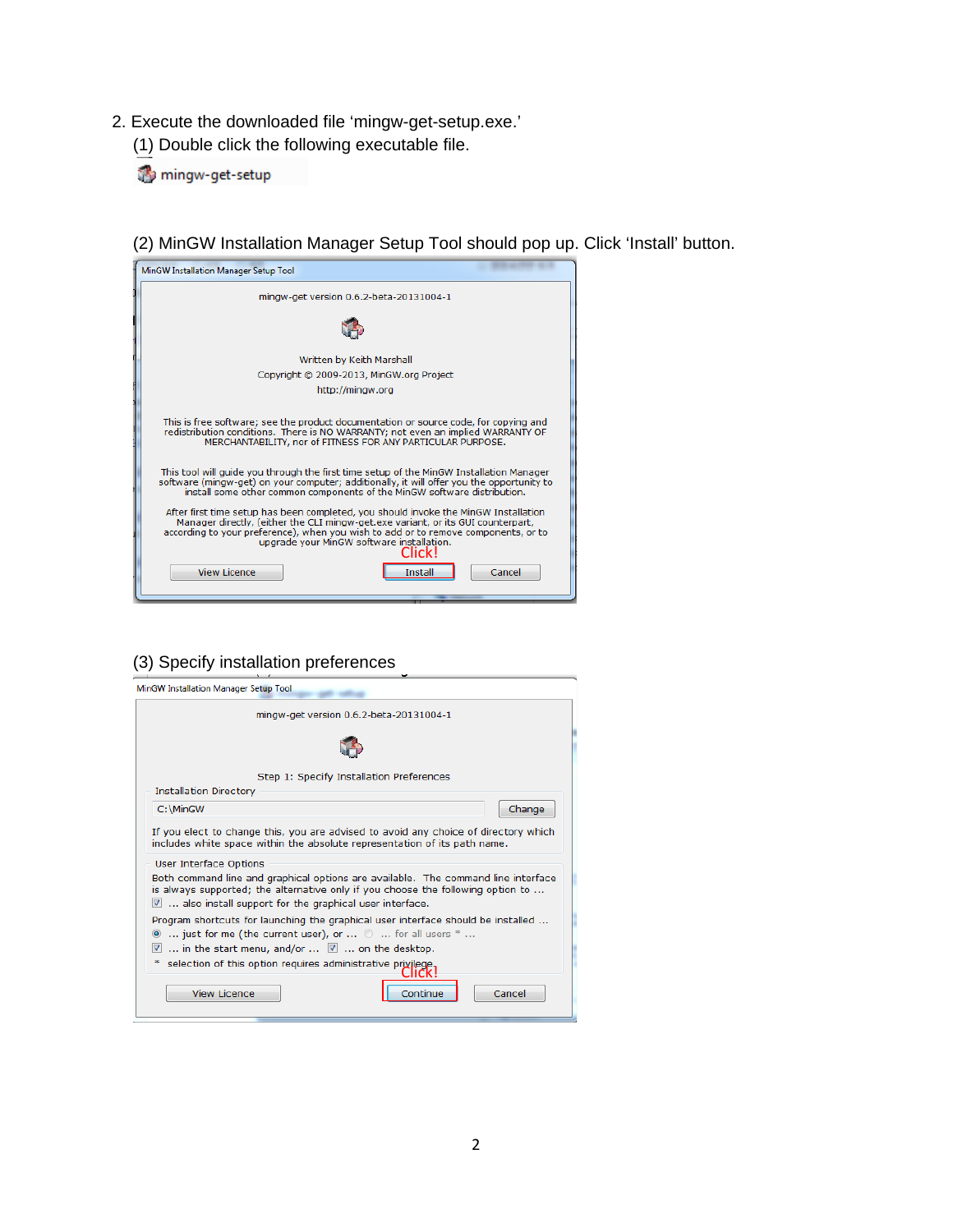- 2. Execute the downloaded file 'mingw-get-setup.exe.'
	- (1) Double click the following executable file.

mingw-get-setup

(2) MinGW Installation Manager Setup Tool should pop up. Click 'Install' button.

| MinGW Installation Manager Setup Tool                                                                                                                                                                                                                                                                                |
|----------------------------------------------------------------------------------------------------------------------------------------------------------------------------------------------------------------------------------------------------------------------------------------------------------------------|
| mingw-get version 0.6.2-beta-20131004-1                                                                                                                                                                                                                                                                              |
|                                                                                                                                                                                                                                                                                                                      |
| Written by Keith Marshall                                                                                                                                                                                                                                                                                            |
| Copyright @ 2009-2013, MinGW.org Project                                                                                                                                                                                                                                                                             |
| http://mingw.org                                                                                                                                                                                                                                                                                                     |
| This is free software; see the product documentation or source code, for copying and<br>redistribution conditions. There is NO WARRANTY; not even an implied WARRANTY OF<br>MERCHANTABILITY, nor of FITNESS FOR ANY PARTICULAR PURPOSE.                                                                              |
| This tool will quide you through the first time setup of the MinGW Installation Manager<br>software (mingw-get) on your computer; additionally, it will offer you the opportunity to<br>install some other common components of the MinGW software distribution.                                                     |
| After first time setup has been completed, you should invoke the MinGW Installation<br>Manager directly, (either the CLI mingw-get.exe variant, or its GUI counterpart,<br>according to your preference), when you wish to add or to remove components, or to<br>upgrade your MinGW software installation.<br>Click! |
| View Licence<br>Cancel<br>Install                                                                                                                                                                                                                                                                                    |

## (3) Specify installation preferences

|                               |                                                                                                                                                          | mingw-get version 0.6.2-beta-20131004-1  |       |                                                                                     |
|-------------------------------|----------------------------------------------------------------------------------------------------------------------------------------------------------|------------------------------------------|-------|-------------------------------------------------------------------------------------|
|                               |                                                                                                                                                          |                                          |       |                                                                                     |
|                               |                                                                                                                                                          | Step 1: Specify Installation Preferences |       |                                                                                     |
| <b>Installation Directory</b> |                                                                                                                                                          |                                          |       |                                                                                     |
| C:\MinGW                      |                                                                                                                                                          |                                          |       | Change                                                                              |
|                               | includes white space within the absolute representation of its path name.                                                                                |                                          |       | If you elect to change this, you are advised to avoid any choice of directory which |
| <b>User Interface Options</b> | is always supported; the alternative only if you choose the following option to<br>$\blacksquare$ also install support for the graphical user interface. |                                          |       | Both command line and graphical options are available. The command line interface   |
|                               | $\bullet$ just for me (the current user), or $\circ$ for all users $^*$<br>in the start menu, and/or $\ldots$ $\blacksquare$ on the desktop.             |                                          |       | Program shortcuts for launching the graphical user interface should be installed    |
|                               | selection of this option requires administrative privilege.                                                                                              |                                          |       |                                                                                     |
|                               |                                                                                                                                                          |                                          | lick! |                                                                                     |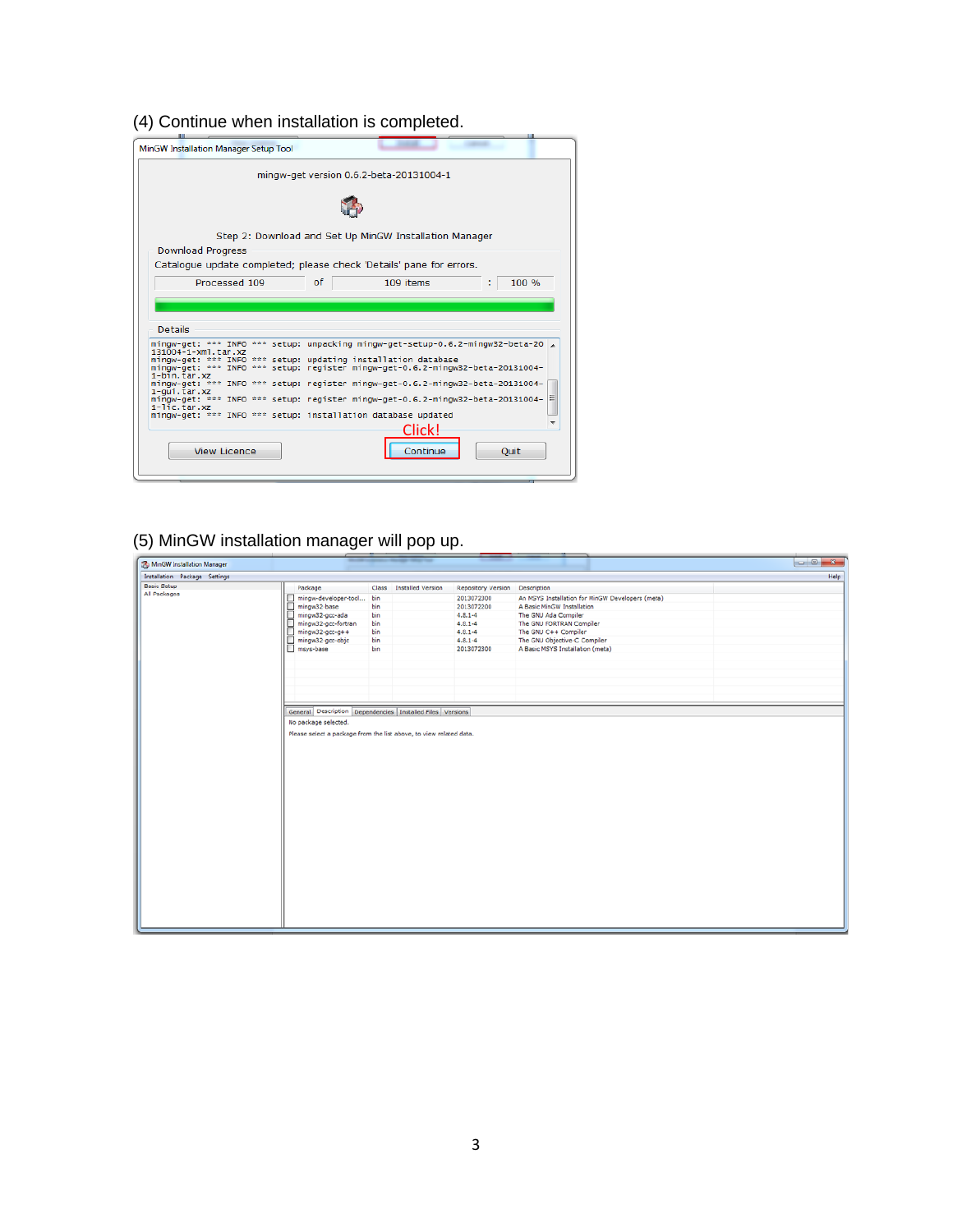## (4) Continue when installation is completed.

| MinGW Installation Manager Setup Tool |                                                                                |
|---------------------------------------|--------------------------------------------------------------------------------|
|                                       | mingw-get version 0.6.2-beta-20131004-1                                        |
|                                       |                                                                                |
|                                       | Step 2: Download and Set Up MinGW Installation Manager                         |
| <b>Download Progress</b>              |                                                                                |
|                                       | Catalogue update completed; please check 'Details' pane for errors.            |
|                                       |                                                                                |
| Processed 109                         | of<br>109 items<br>100 %                                                       |
|                                       |                                                                                |
|                                       |                                                                                |
|                                       |                                                                                |
|                                       |                                                                                |
| <b>Details</b>                        |                                                                                |
|                                       |                                                                                |
| 131004-1-xml.tar.xz                   | mingw-get: *** INFO *** setup: unpacking mingw-get-setup-0.6.2-mingw32-beta-20 |
|                                       | mingw-get: *** INFO *** setup: updating installation database                  |
|                                       | mingw-get: *** INFO *** setup: register mingw-get-0.6.2-mingw32-beta-20131004- |
| $1-b\bar{1}n$ . tar. xz               | mingw-get: *** INFO *** setup: register mingw-get-0.6.2-mingw32-beta-20131004- |
| $1$ -qui.tar. $xz$                    |                                                                                |
|                                       | mingw-get: *** INFO *** setup: register mingw-get-0.6.2-mingw32-beta-20131004- |
| $1 - 1$ ic.tar.xz                     | mingw-get: *** INFO *** setup: installation database updated                   |
|                                       |                                                                                |
|                                       | Clickl                                                                         |
|                                       |                                                                                |
| <b>View Licence</b>                   | Continue<br>Ouit                                                               |

# (5) MinGW installation manager will pop up.

| MinGW Installation Manager    |                                                                    |     |                         |                                       |                                                  |      |
|-------------------------------|--------------------------------------------------------------------|-----|-------------------------|---------------------------------------|--------------------------------------------------|------|
| Installation Package Settings |                                                                    |     |                         |                                       |                                                  | Help |
| <b>Basic Setup</b>            | Package                                                            |     | Class Installed Version | <b>Repository Version Description</b> |                                                  |      |
| All Packages                  | mingw-developer-tool bin                                           |     |                         | 2013072300                            | An MSYS Installation for MinGW Developers (meta) |      |
|                               | mingw32-base                                                       | bin |                         | 2013072200                            | A Basic MinGW Installation                       |      |
|                               | mingw32-gcc-ada                                                    | bin |                         | $4.8.1 - 4$                           | The GNU Ada Compiler                             |      |
|                               | mingw32-gcc-fortran<br>mingw32-gcc-g++                             | bin |                         | $4.8.1 - 4$                           | The GNU FORTRAN Compiler                         |      |
|                               |                                                                    | bin |                         | $4.8.1 - 4$                           | The GNU C++ Compiler                             |      |
|                               | mingw32-gcc-objc                                                   | bin |                         | $4.8.1 - 4$                           | The GNU Objective-C Compiler                     |      |
|                               | msys-base                                                          | bin |                         | 2013072300                            | A Basic MSYS Installation (meta)                 |      |
|                               |                                                                    |     |                         |                                       |                                                  |      |
|                               |                                                                    |     |                         |                                       |                                                  |      |
|                               |                                                                    |     |                         |                                       |                                                  |      |
|                               |                                                                    |     |                         |                                       |                                                  |      |
|                               |                                                                    |     |                         |                                       |                                                  |      |
|                               |                                                                    |     |                         |                                       |                                                  |      |
|                               | General Description Dependencies Installed Files Versions          |     |                         |                                       |                                                  |      |
|                               | No package selected.                                               |     |                         |                                       |                                                  |      |
|                               |                                                                    |     |                         |                                       |                                                  |      |
|                               | Please select a package from the list above, to view related data. |     |                         |                                       |                                                  |      |
|                               |                                                                    |     |                         |                                       |                                                  |      |
|                               |                                                                    |     |                         |                                       |                                                  |      |
|                               |                                                                    |     |                         |                                       |                                                  |      |
|                               |                                                                    |     |                         |                                       |                                                  |      |
|                               |                                                                    |     |                         |                                       |                                                  |      |
|                               |                                                                    |     |                         |                                       |                                                  |      |
|                               |                                                                    |     |                         |                                       |                                                  |      |
|                               |                                                                    |     |                         |                                       |                                                  |      |
|                               |                                                                    |     |                         |                                       |                                                  |      |
|                               |                                                                    |     |                         |                                       |                                                  |      |
|                               |                                                                    |     |                         |                                       |                                                  |      |
|                               |                                                                    |     |                         |                                       |                                                  |      |
|                               |                                                                    |     |                         |                                       |                                                  |      |
|                               |                                                                    |     |                         |                                       |                                                  |      |
|                               |                                                                    |     |                         |                                       |                                                  |      |
|                               |                                                                    |     |                         |                                       |                                                  |      |
|                               |                                                                    |     |                         |                                       |                                                  |      |
|                               |                                                                    |     |                         |                                       |                                                  |      |
|                               |                                                                    |     |                         |                                       |                                                  |      |
|                               |                                                                    |     |                         |                                       |                                                  |      |
|                               |                                                                    |     |                         |                                       |                                                  |      |
|                               |                                                                    |     |                         |                                       |                                                  |      |
|                               |                                                                    |     |                         |                                       |                                                  |      |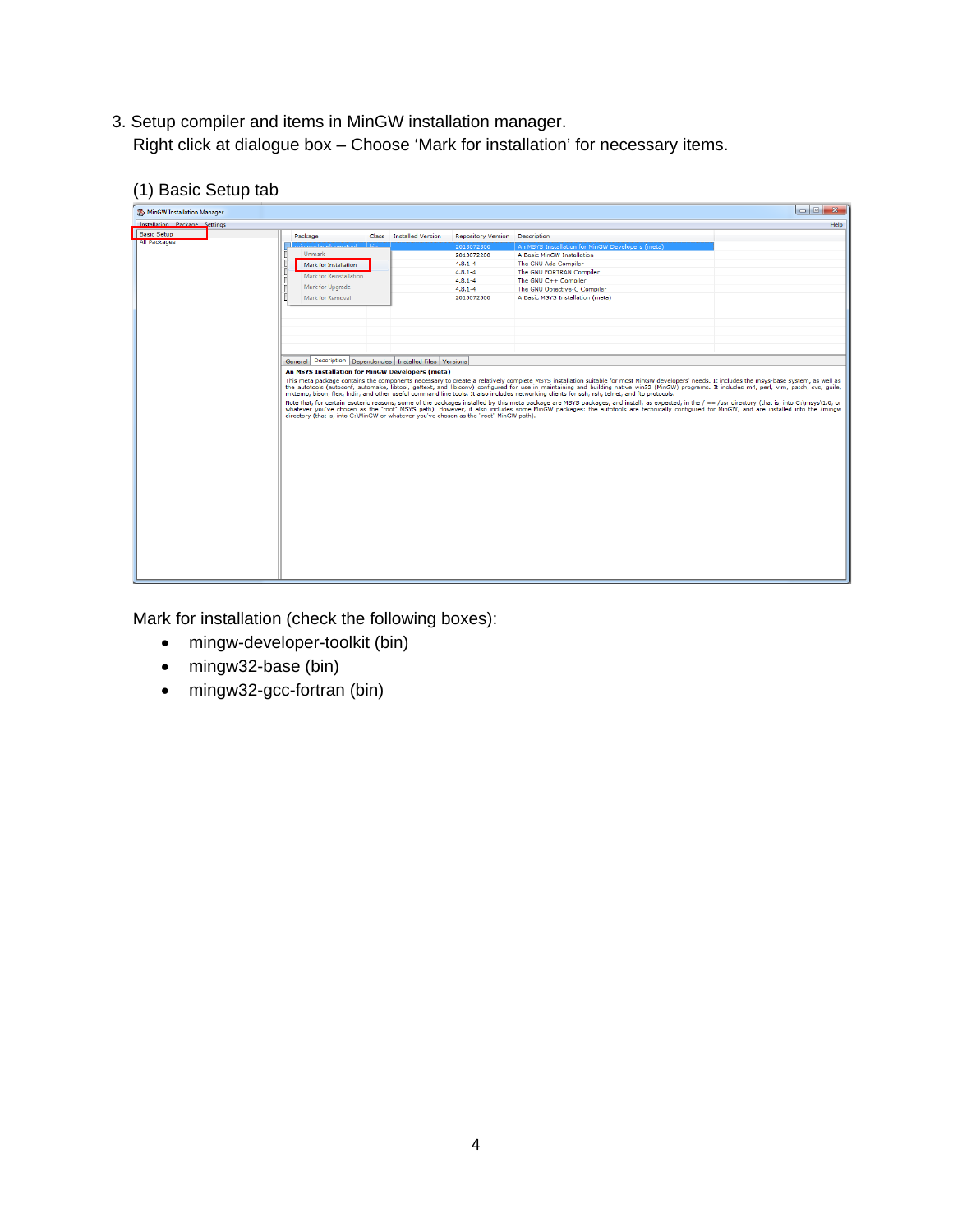- 3. Setup compiler and items in MinGW installation manager. Right click at dialogue box – Choose 'Mark for installation' for necessary items.
	- (1) Basic Setup tab

| MinGW Installation Manager    |                                                                                        |                         |                           |                                                                                                                                                                                                                                                                                                                                                 | $\begin{array}{c c c c} \hline \multicolumn{3}{c }{\multicolumn{3}{c }{\multicolumn{3}{c }{\multicolumn{3}{c }{\multicolumn{3}{c }{\multicolumn{3}{c }{\multicolumn{3}{c }{\multicolumn{3}{c }{\multicolumn{3}{c}}}}}}}} \hline \multicolumn{3}{c }{\hline \multicolumn{3}{c }{\hline \multicolumn{3}{c }{\multicolumn{3}{c }{\multicolumn{3}{c }{\multicolumn{3}{c }{\multicolumn{3}{c }{\multicolumn{3}{c }{\multicolumn{3}{c }{\multicolumn{3}{c }{\multic$<br>$\mathbf{x}$ |
|-------------------------------|----------------------------------------------------------------------------------------|-------------------------|---------------------------|-------------------------------------------------------------------------------------------------------------------------------------------------------------------------------------------------------------------------------------------------------------------------------------------------------------------------------------------------|--------------------------------------------------------------------------------------------------------------------------------------------------------------------------------------------------------------------------------------------------------------------------------------------------------------------------------------------------------------------------------------------------------------------------------------------------------------------------------|
| Installation Package Settings |                                                                                        |                         |                           |                                                                                                                                                                                                                                                                                                                                                 | Help                                                                                                                                                                                                                                                                                                                                                                                                                                                                           |
| <b>Basic Setup</b>            | Package                                                                                | Class Installed Version | <b>Repository Version</b> | Description                                                                                                                                                                                                                                                                                                                                     |                                                                                                                                                                                                                                                                                                                                                                                                                                                                                |
| All Packages                  | now developer tool                                                                     |                         | 2013072300                | An MSYS Installation for MinGW Developers (meta)                                                                                                                                                                                                                                                                                                |                                                                                                                                                                                                                                                                                                                                                                                                                                                                                |
|                               | <b>Unmark</b>                                                                          |                         | 2013072200                | A Basic MinGW Installation                                                                                                                                                                                                                                                                                                                      |                                                                                                                                                                                                                                                                                                                                                                                                                                                                                |
|                               | Mark for Installation                                                                  |                         | $4.8.1 - 4$               | The GNU Ada Compiler                                                                                                                                                                                                                                                                                                                            |                                                                                                                                                                                                                                                                                                                                                                                                                                                                                |
|                               | Mark for Reinstallation                                                                |                         | $4.8.1 - 4$               | The GNU FORTRAN Compiler                                                                                                                                                                                                                                                                                                                        |                                                                                                                                                                                                                                                                                                                                                                                                                                                                                |
|                               |                                                                                        |                         | $4.8.1 - 4$               | The GNU C++ Compiler                                                                                                                                                                                                                                                                                                                            |                                                                                                                                                                                                                                                                                                                                                                                                                                                                                |
|                               | Mark for Upgrade                                                                       |                         | $4.8.1 - 4$               | The GNU Objective-C Compiler                                                                                                                                                                                                                                                                                                                    |                                                                                                                                                                                                                                                                                                                                                                                                                                                                                |
|                               | Mark for Removal                                                                       |                         | 2013072300                | A Basic MSYS Installation (meta)                                                                                                                                                                                                                                                                                                                |                                                                                                                                                                                                                                                                                                                                                                                                                                                                                |
|                               |                                                                                        |                         |                           |                                                                                                                                                                                                                                                                                                                                                 |                                                                                                                                                                                                                                                                                                                                                                                                                                                                                |
|                               |                                                                                        |                         |                           |                                                                                                                                                                                                                                                                                                                                                 |                                                                                                                                                                                                                                                                                                                                                                                                                                                                                |
|                               |                                                                                        |                         |                           |                                                                                                                                                                                                                                                                                                                                                 |                                                                                                                                                                                                                                                                                                                                                                                                                                                                                |
|                               |                                                                                        |                         |                           |                                                                                                                                                                                                                                                                                                                                                 |                                                                                                                                                                                                                                                                                                                                                                                                                                                                                |
|                               |                                                                                        |                         |                           |                                                                                                                                                                                                                                                                                                                                                 |                                                                                                                                                                                                                                                                                                                                                                                                                                                                                |
|                               |                                                                                        |                         |                           |                                                                                                                                                                                                                                                                                                                                                 |                                                                                                                                                                                                                                                                                                                                                                                                                                                                                |
|                               | General Description Dependencies Installed Files Versions                              |                         |                           |                                                                                                                                                                                                                                                                                                                                                 |                                                                                                                                                                                                                                                                                                                                                                                                                                                                                |
|                               | An MSYS Installation for MinGW Developers (meta)                                       |                         |                           |                                                                                                                                                                                                                                                                                                                                                 |                                                                                                                                                                                                                                                                                                                                                                                                                                                                                |
|                               |                                                                                        |                         |                           | This meta package contains the components necessary to create a relatively complete MSYS installation suitable for most MinGW developers' needs. It includes the msys-base system, as well as                                                                                                                                                   |                                                                                                                                                                                                                                                                                                                                                                                                                                                                                |
|                               |                                                                                        |                         |                           | the autotools (autoconf, automake, libtool, gettext, and libiconv) configured for use in maintaining and building native win32 (MinGW) programs. It includes m4, perl, vim, patch, cvs, quile,<br>mktemp, bison, flex, Indir, and other useful command line tools. It also includes networking clients for ssh, rsh, telnet, and ftp protocols. |                                                                                                                                                                                                                                                                                                                                                                                                                                                                                |
|                               |                                                                                        |                         |                           | Note that, for certain esoteric reasons, some of the packages installed by this meta package are MSYS packages, and install, as expected, in the / == /usr directory (that is, into C:\msys\1.0, or                                                                                                                                             |                                                                                                                                                                                                                                                                                                                                                                                                                                                                                |
|                               |                                                                                        |                         |                           | whatever you've chosen as the "root" MSYS path). However, it also includes some MinGW packages: the autotools are technically configured for MinGW, and are installed into the /mingw                                                                                                                                                           |                                                                                                                                                                                                                                                                                                                                                                                                                                                                                |
|                               | directory (that is, into C:\MinGW or whatever you've chosen as the "root" MinGW path). |                         |                           |                                                                                                                                                                                                                                                                                                                                                 |                                                                                                                                                                                                                                                                                                                                                                                                                                                                                |
|                               |                                                                                        |                         |                           |                                                                                                                                                                                                                                                                                                                                                 |                                                                                                                                                                                                                                                                                                                                                                                                                                                                                |
|                               |                                                                                        |                         |                           |                                                                                                                                                                                                                                                                                                                                                 |                                                                                                                                                                                                                                                                                                                                                                                                                                                                                |
|                               |                                                                                        |                         |                           |                                                                                                                                                                                                                                                                                                                                                 |                                                                                                                                                                                                                                                                                                                                                                                                                                                                                |
|                               |                                                                                        |                         |                           |                                                                                                                                                                                                                                                                                                                                                 |                                                                                                                                                                                                                                                                                                                                                                                                                                                                                |
|                               |                                                                                        |                         |                           |                                                                                                                                                                                                                                                                                                                                                 |                                                                                                                                                                                                                                                                                                                                                                                                                                                                                |
|                               |                                                                                        |                         |                           |                                                                                                                                                                                                                                                                                                                                                 |                                                                                                                                                                                                                                                                                                                                                                                                                                                                                |
|                               |                                                                                        |                         |                           |                                                                                                                                                                                                                                                                                                                                                 |                                                                                                                                                                                                                                                                                                                                                                                                                                                                                |
|                               |                                                                                        |                         |                           |                                                                                                                                                                                                                                                                                                                                                 |                                                                                                                                                                                                                                                                                                                                                                                                                                                                                |
|                               |                                                                                        |                         |                           |                                                                                                                                                                                                                                                                                                                                                 |                                                                                                                                                                                                                                                                                                                                                                                                                                                                                |
|                               |                                                                                        |                         |                           |                                                                                                                                                                                                                                                                                                                                                 |                                                                                                                                                                                                                                                                                                                                                                                                                                                                                |
|                               |                                                                                        |                         |                           |                                                                                                                                                                                                                                                                                                                                                 |                                                                                                                                                                                                                                                                                                                                                                                                                                                                                |
|                               |                                                                                        |                         |                           |                                                                                                                                                                                                                                                                                                                                                 |                                                                                                                                                                                                                                                                                                                                                                                                                                                                                |
|                               |                                                                                        |                         |                           |                                                                                                                                                                                                                                                                                                                                                 |                                                                                                                                                                                                                                                                                                                                                                                                                                                                                |
|                               |                                                                                        |                         |                           |                                                                                                                                                                                                                                                                                                                                                 |                                                                                                                                                                                                                                                                                                                                                                                                                                                                                |
|                               |                                                                                        |                         |                           |                                                                                                                                                                                                                                                                                                                                                 |                                                                                                                                                                                                                                                                                                                                                                                                                                                                                |
|                               |                                                                                        |                         |                           |                                                                                                                                                                                                                                                                                                                                                 |                                                                                                                                                                                                                                                                                                                                                                                                                                                                                |
|                               |                                                                                        |                         |                           |                                                                                                                                                                                                                                                                                                                                                 |                                                                                                                                                                                                                                                                                                                                                                                                                                                                                |
|                               |                                                                                        |                         |                           |                                                                                                                                                                                                                                                                                                                                                 |                                                                                                                                                                                                                                                                                                                                                                                                                                                                                |

Mark for installation (check the following boxes):

- mingw-developer-toolkit (bin)
- mingw32-base (bin)
- mingw32-gcc-fortran (bin)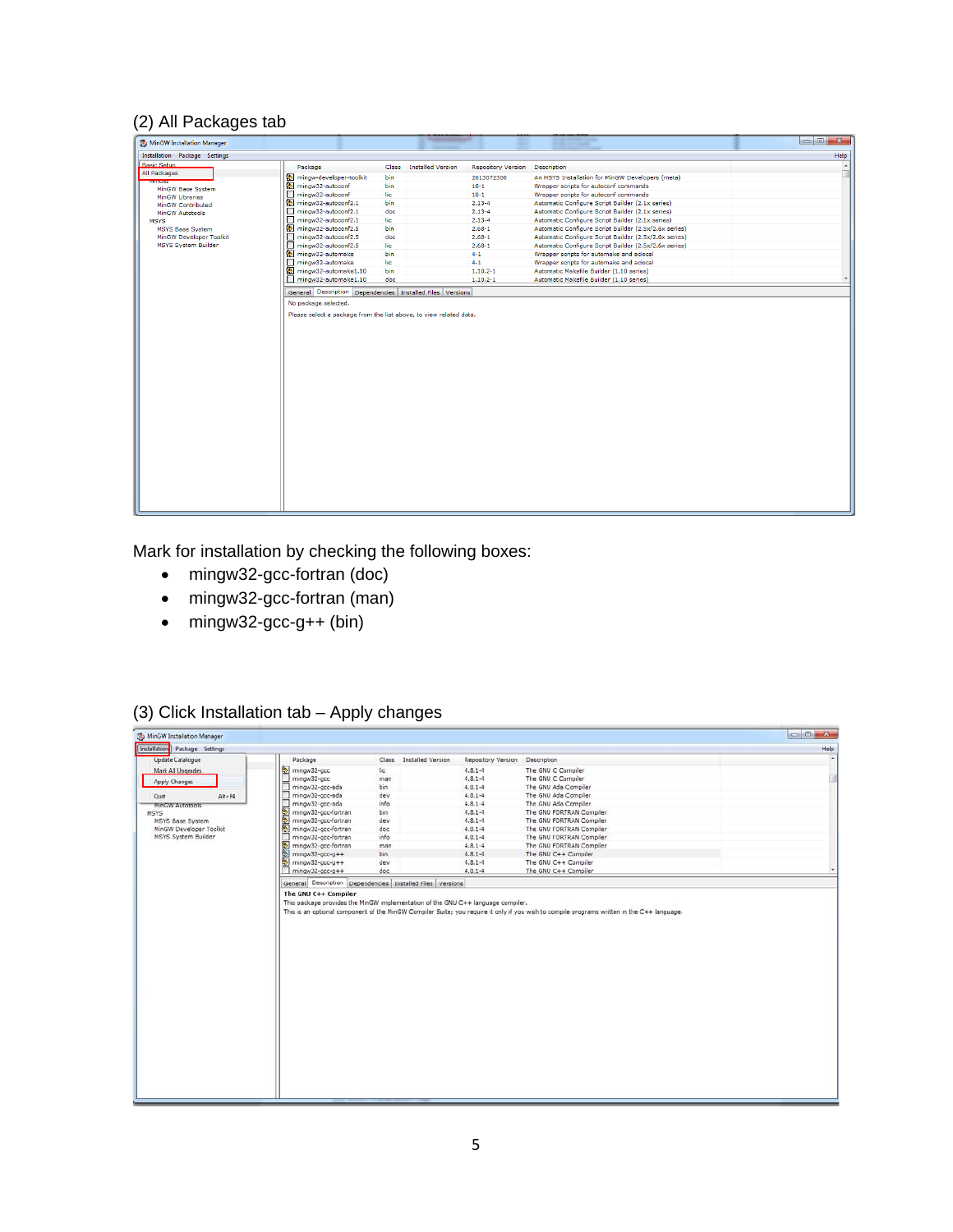### (2) All Packages tab

| MinGW Installation Manager                  |                         |       | <b><i><u>STERN CONTROLLERS</u></i></b>                |                                                       | $\blacksquare$<br>$\mathbf{x}$ |
|---------------------------------------------|-------------------------|-------|-------------------------------------------------------|-------------------------------------------------------|--------------------------------|
| Installation Package Settings               |                         |       |                                                       |                                                       | Help                           |
| <b>Basic Setup</b>                          | Package                 | Class | <b>Installed Version</b><br><b>Repository Version</b> | Description                                           |                                |
| All Packages                                | mingw-developer-toolkit | bin   | 2013072300                                            | An MSYS Installation for MinGW Developers (meta)      |                                |
| <b>analysis</b>                             | mingw32-autoconf        | bin   | $10 - 1$                                              | Wrapper scripts for autoconf commands                 |                                |
| MinGW Base System<br><b>MinGW Libraries</b> | mingw32-autoconf        | lic   | $10 - 1$                                              | Wrapper scripts for autoconf commands                 |                                |
| MinGW Contributed                           | mingw32-autoconf2.1     | bin   | $2.13 - 4$                                            | Automatic Configure Script Builder (2.1x series)      |                                |
| MinGW Autotools                             | mingw32-autoconf2.1     | doc   | $2.13 - 4$                                            | Automatic Configure Script Builder (2.1x series)      |                                |
| <b>MSYS</b>                                 | mingw32-autoconf2.1     | lic   | $2.13 - 4$                                            | Automatic Configure Script Builder (2.1x series)      |                                |
| <b>MSYS Base System</b>                     | mingw32-autoconf2.5     | bin   | $2.68 - 1$                                            | Automatic Configure Script Builder (2.5x/2.6x series) |                                |
| MinGW Developer Toolkit                     | mingw32-autoconf2.5     | doc   | $2.68 - 1$                                            | Automatic Configure Script Builder (2.5x/2.6x series) |                                |
| <b>MSYS System Builder</b>                  | mingw32-autoconf2.5     | lic   | $2.68 - 1$                                            | Automatic Configure Script Builder (2.5x/2.6x series) |                                |
|                                             | mingw32-automake        | bin   | $4 - 1$                                               | Wrapper scripts for automake and aclocal              |                                |
|                                             | mingw32-automake        | lic   | $4 - 1$                                               | Wrapper scripts for automake and aclocal              |                                |
|                                             | mingw32-automake1.10    | bin   | $1.10.2 - 1$                                          | Automatic Makefile Builder (1.10 series)              |                                |
|                                             | mingw32-automake1.10    | doc   | $1.10.2 - 1$                                          | Automatic Makefile Builder (1.10 series)              |                                |
|                                             |                         |       |                                                       |                                                       |                                |
|                                             |                         |       |                                                       |                                                       |                                |

Mark for installation by checking the following boxes:

- mingw32-gcc-fortran (doc)
- mingw32-gcc-fortran (man)
- mingw32-gcc-g++ (bin)

#### (3) Click Installation tab – Apply changes

| MinGW Installation Manager    |                                            |       |                   |                    |                          | $-6$ |
|-------------------------------|--------------------------------------------|-------|-------------------|--------------------|--------------------------|------|
| Installation Package Settings |                                            |       |                   |                    |                          | Help |
| <b>Update Catalogue</b>       | Package                                    | Class | Installed Version | Repository Version | Description              |      |
| Mark All Upgrades             | mingw32-gcc                                | lic.  |                   | $4.8.1 - 4$        | The GNU C Compiler       |      |
| <b>Apply Changes</b>          | mingw32-gcc<br>$\mathcal{D}_{\mathcal{A}}$ | man   |                   | $4.8.1 - 4$        | The GNU C Compiler       |      |
|                               | □<br>mingw32-gcc-ada                       | bin   |                   | $4.8.1 - 4$        | The GNU Ada Compiler     |      |
| $Alt + F4$<br>Quit            | mingw32-gcc-ada                            | dev   |                   | $4.8.1 - 4$        | The GNU Ada Compiler     |      |
| MinGW Autotools               | n<br>mingw32-gcc-ada                       | info  |                   | $4.8.1 - 4$        | The GNU Ada Compiler     |      |
| MSYS                          | mingw32-gcc-fortran                        | bin   |                   | $4.8.1 - 4$        | The GNU FORTRAN Compiler |      |
| MSYS Base System              | mingw32-gcc-fortran                        | dev   |                   | $4.3.1 - 4$        | The GNU FORTRAN Compiler |      |
| MinGW Developer Toolkit       | mingw32-gcc-fortran                        | doc   |                   | $4.8.1 - 4$        | The GNU FORTRAN Compiler |      |
| MSYS System Builder           | mingw32-gcc-fortran                        | info  |                   | $4.8.1 - 4$        | The GNU FORTRAN Compiler |      |
|                               | mingw32-gcc-fortran                        | man.  |                   | $4.8.1 - 4$        | The GNU FORTRAN Compiler |      |
|                               | $mingw32-gcc-g++$                          | bin.  |                   | $4.8.1 - 4$        | The GNU C++ Compiler     |      |
|                               | mingw32-gcc-g++                            | dev   |                   | $4.3.1 - 4$        | The GNU C++ Compiler     |      |
|                               | $m$ ingw32-gcc-g++                         | doc   |                   | $4.8.1 - 4$        | The GNU C++ Compiler     |      |
|                               |                                            |       |                   |                    |                          |      |
|                               |                                            |       |                   |                    |                          |      |
|                               |                                            |       |                   |                    |                          |      |
|                               |                                            |       |                   |                    |                          |      |
|                               |                                            |       |                   |                    |                          |      |
|                               |                                            |       |                   |                    |                          |      |
|                               |                                            |       |                   |                    |                          |      |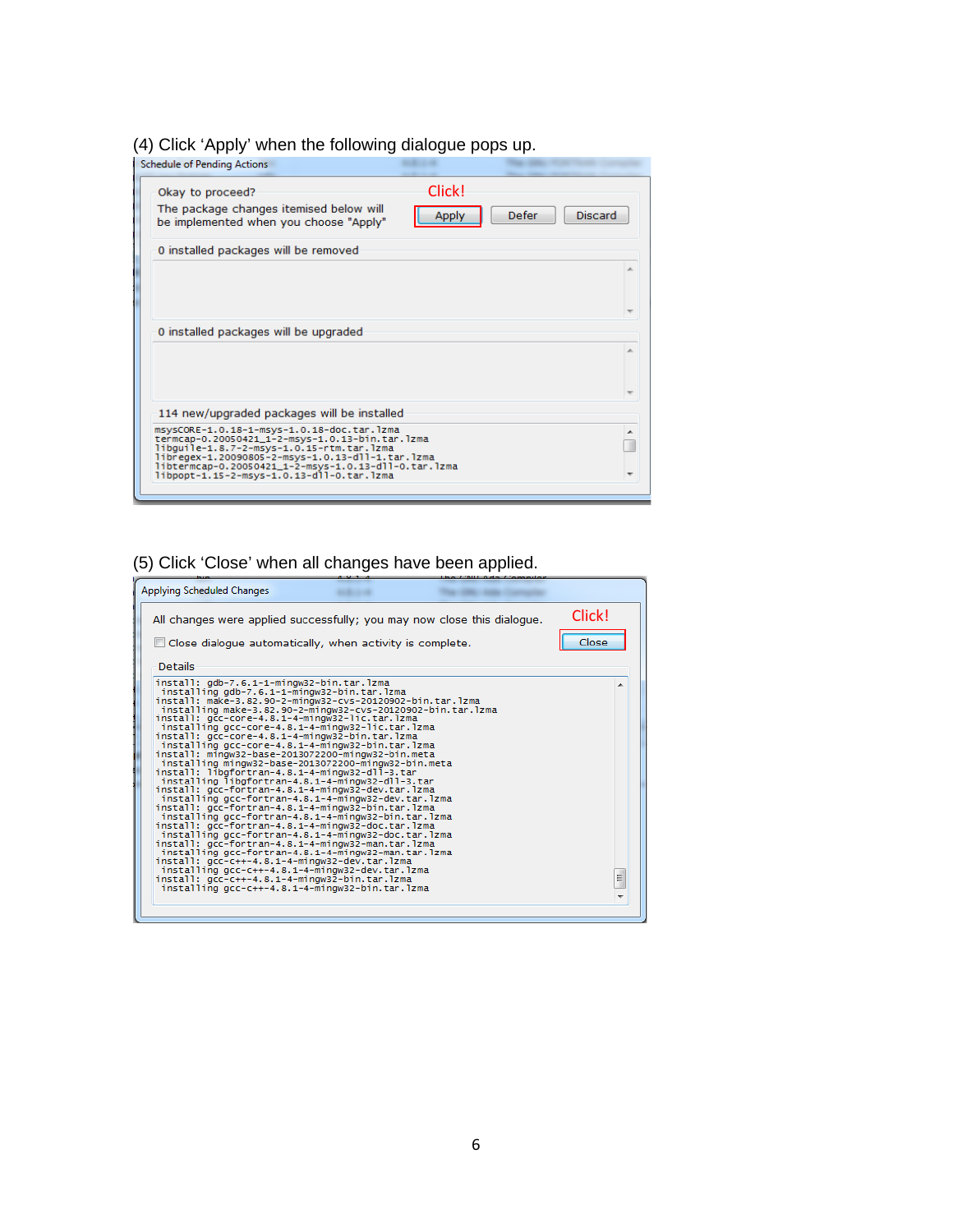## (4) Click 'Apply' when the following dialogue pops up.

| <b>Schedule of Pending Actions</b>                                                                                                                                                                                                                                                                  |                        |                         |
|-----------------------------------------------------------------------------------------------------------------------------------------------------------------------------------------------------------------------------------------------------------------------------------------------------|------------------------|-------------------------|
| Okay to proceed?<br>The package changes itemised below will<br>be implemented when you choose "Apply"                                                                                                                                                                                               | Click!<br><b>Apply</b> | <b>Discard</b><br>Defer |
| 0 installed packages will be removed                                                                                                                                                                                                                                                                |                        |                         |
| 0 installed packages will be upgraded                                                                                                                                                                                                                                                               |                        |                         |
| 114 new/upgraded packages will be installed                                                                                                                                                                                                                                                         |                        |                         |
| msysCORE-1.0.18-1-msys-1.0.18-doc.tar.lzma<br>termcap-0.20050421_1-2-msys-1.0.13-bin.tar.lzma<br>libguile-1.8.7-2-msys-1.0.15-rtm.tar.lzma<br>libregex-1.20090805-2-msys-1.0.13-dll-1.tar.lzma<br>libtermcap-0.20050421_1-2-msys-1.0.13-dll-0.tar.lzma<br>libpopt-1.15-2-msys-1.0.13-dll-0.tar.lzma |                        |                         |
|                                                                                                                                                                                                                                                                                                     |                        |                         |

# (5) Click 'Close' when all changes have been applied.

| Applying Scheduled Changes                                                                                                                                                                                                                                                                                                                                                                                                                                                                                                                                                                                                                                                                                                                                                                                                                                                                                                                                                                                                                                                                                                                                                                                                                                                                                 |        |
|------------------------------------------------------------------------------------------------------------------------------------------------------------------------------------------------------------------------------------------------------------------------------------------------------------------------------------------------------------------------------------------------------------------------------------------------------------------------------------------------------------------------------------------------------------------------------------------------------------------------------------------------------------------------------------------------------------------------------------------------------------------------------------------------------------------------------------------------------------------------------------------------------------------------------------------------------------------------------------------------------------------------------------------------------------------------------------------------------------------------------------------------------------------------------------------------------------------------------------------------------------------------------------------------------------|--------|
| All changes were applied successfully; you may now close this dialogue.                                                                                                                                                                                                                                                                                                                                                                                                                                                                                                                                                                                                                                                                                                                                                                                                                                                                                                                                                                                                                                                                                                                                                                                                                                    | Click! |
| $\Box$ Close dialogue automatically, when activity is complete.                                                                                                                                                                                                                                                                                                                                                                                                                                                                                                                                                                                                                                                                                                                                                                                                                                                                                                                                                                                                                                                                                                                                                                                                                                            | Close  |
| <b>Details</b>                                                                                                                                                                                                                                                                                                                                                                                                                                                                                                                                                                                                                                                                                                                                                                                                                                                                                                                                                                                                                                                                                                                                                                                                                                                                                             |        |
| install: qdb-7.6.1-1-mingw32-bin.tar.lzma<br>installing gdb-7.6.1-1-mingw32-bin.tar.lzma<br>install: make-3.82.90-2-mingw32-cvs-20120902-bin.tar.lzma<br>installing make-3.82.90-2-mingw32-cvs-20120902-bin.tar.lzma<br>install: gcc-core-4.8.1-4-mingw32-lic.tar.lzma<br>installing gcc-core-4.8.1-4-mingw32-lic.tar.lzma<br>install: qcc-core-4.8.1-4-mingw32-bin.tar.lzma<br>installing gcc-core-4.8.1-4-mingw32-bin.tar.lzma<br>install: mingw32-base-2013072200-mingw32-bin.meta<br>installing mingw32-base-2013072200-mingw32-bin.meta<br>install: libgfortran-4.8.1-4-mingw32-dll-3.tar<br>installing libgfortran-4.8.1-4-mingw32-dll-3.tar<br>install: qcc-fortran-4.8.1-4-minqw32-dev.tar.lzma<br>installing gcc-fortran-4.8.1-4-mingw32-dev.tar.lzma<br>install: gcc-fortran-4.8.1-4-mingw32-bin.tar.lzma<br>installing acc-fortran-4.8.1-4-mingw32-bin.tar.lzma<br>install: gcc-fortran-4.8.1-4-mingw32-doc.tar.lzma<br>installing gcc-fortran-4.8.1-4-mingw32-doc.tar.lzma<br>install: gcc-fortran-4.8.1-4-mingw32-man.tar.lzma<br>installing gcc-fortran-4.8.1-4-mingw32-man.tar.lzma<br>install: gcc-c++-4.8.1-4-mingw32-dev.tar.lzma<br>installing gcc-c++-4.8.1-4-mingw32-dev.tar.lzma<br>install: qcc-c++-4.8.1-4-mingw32-bin.tar.lzma<br>installing gcc-c++-4.8.1-4-mingw32-bin.tar.lzma | Ξ      |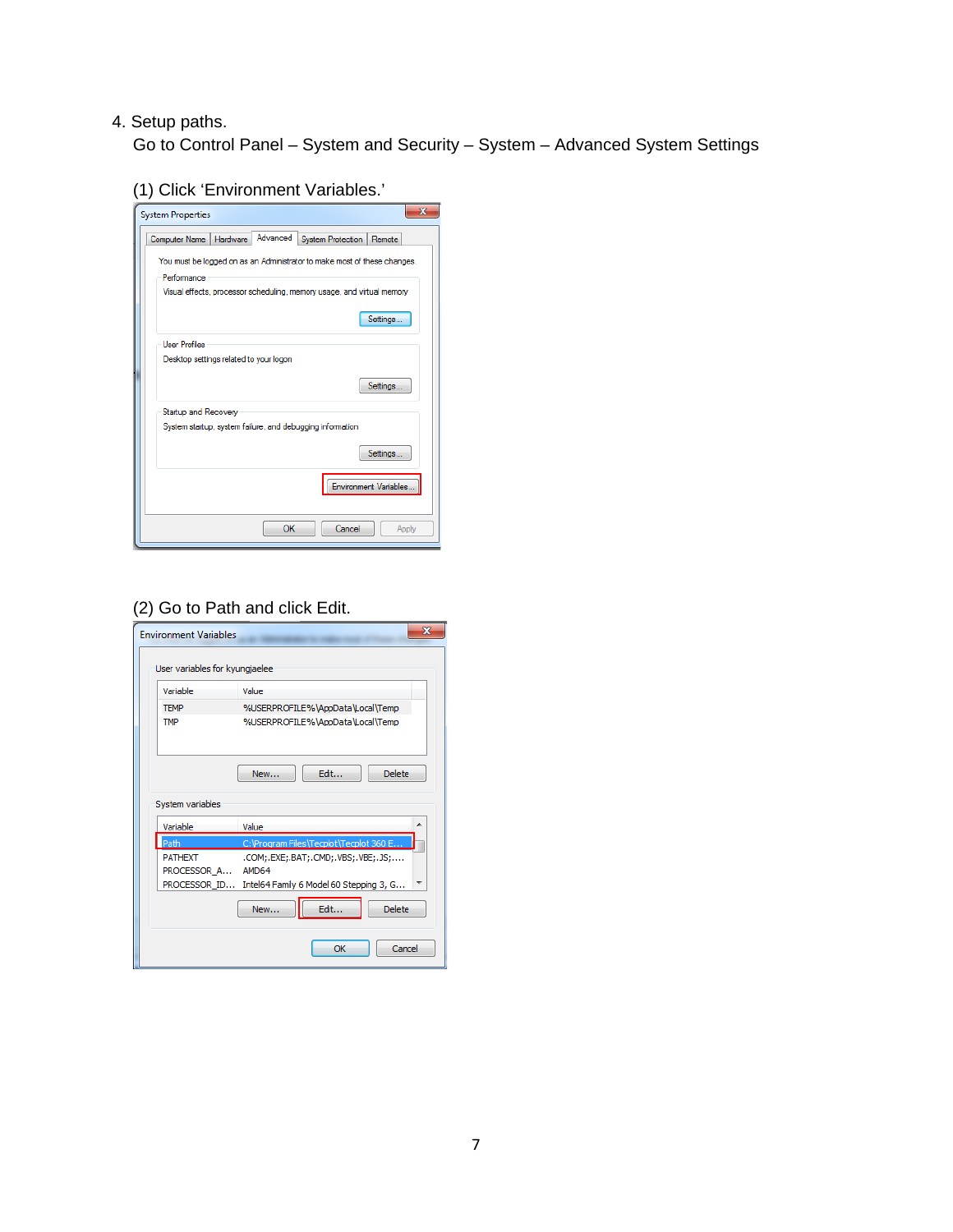#### 4. Setup paths.

Go to Control Panel – System and Security – System – Advanced System Settings

(1) Click 'Environment Variables.'



#### (2) Go to Path and click Edit.

| <b>Environment Variables</b>   | $\mathbf{x}$                            |
|--------------------------------|-----------------------------------------|
| User variables for kyungjaelee |                                         |
| Variable                       | Value                                   |
| <b>TEMP</b>                    | %USERPROFILE%\AppData\Local\Temp        |
| <b>TMP</b>                     | %USERPROFILE%\AppData\Local\Temp        |
|                                | Edit<br>Delete:<br>New                  |
| System variables               |                                         |
|                                |                                         |
| Variable                       | Value                                   |
| Path                           | C:\Program Files\Tecplot\Tecplot 360 E  |
| <b>PATHEXT</b>                 | .COM;.EXE;.BAT;.CMD;.VBS;.VBE;.JS;      |
| PROCESSOR A                    | AMD64                                   |
| PROCESSOR ID                   | Intel64 Family 6 Model 60 Stepping 3, G |
|                                | <b>Delete</b><br>Edit<br>New            |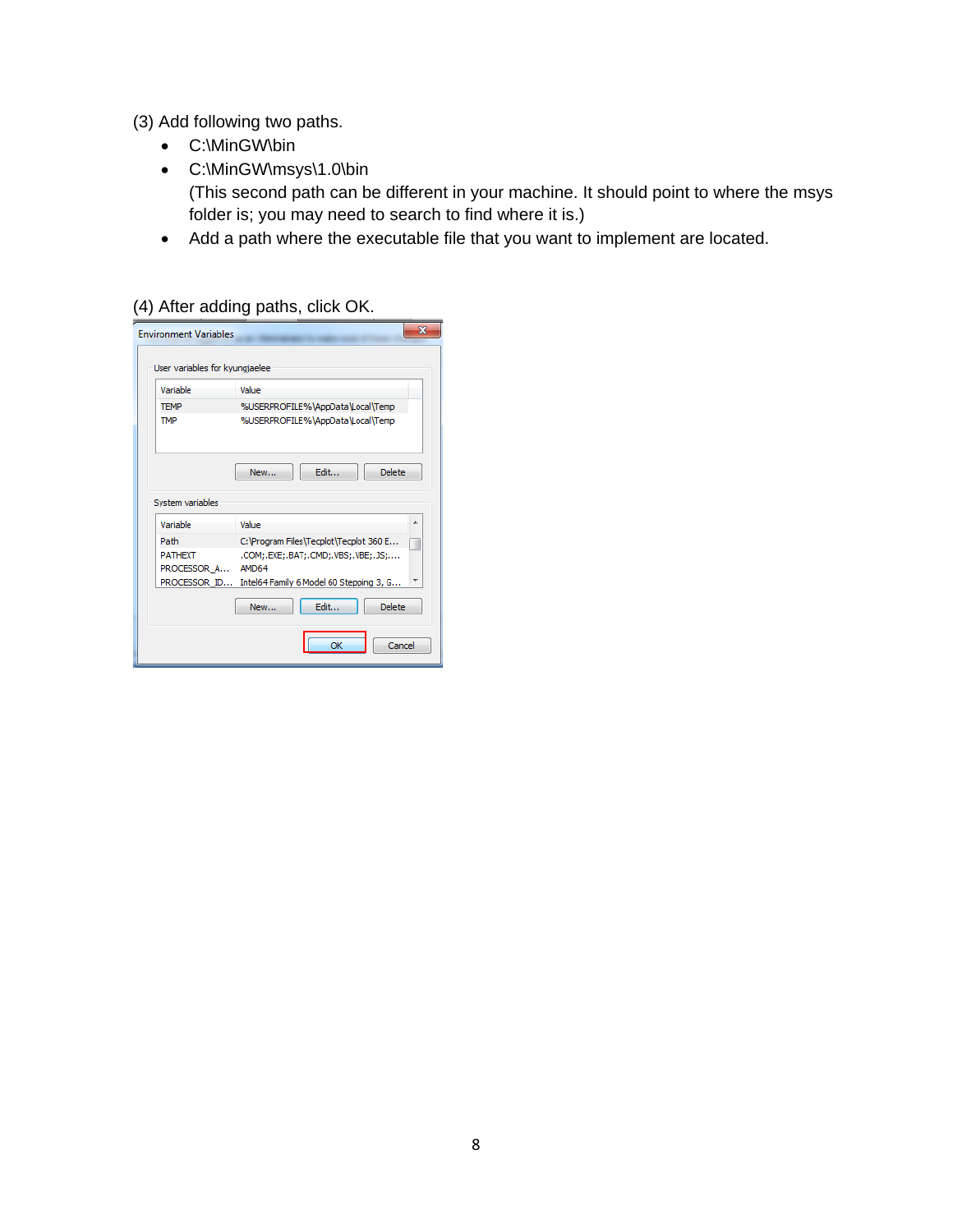(3) Add following two paths.

- C:\MinGW\bin
- C:\MinGW\msys\1.0\bin (This second path can be different in your machine. It should point to where the msys folder is; you may need to search to find where it is.)
- Add a path where the executable file that you want to implement are located.

#### (4) After adding paths, click OK.

| Variable                     | Value                                   |
|------------------------------|-----------------------------------------|
| <b>TEMP</b>                  | %USERPROFILE%\AppData\Local\Temp        |
| <b>TMP</b>                   | %USERPROFILE%\AppData\Local\Temp        |
|                              |                                         |
|                              | Edit<br><b>Delete</b><br>New            |
| System variables<br>Variable | ▴<br>Value                              |
| Path                         | C: \Program Files\Tecplot\Tecplot 360 E |
| <b>PATHEXT</b>               | .COM;.EXE;.BAT;.CMD;.VBS;.VBE;.JS;      |
|                              | AMD64                                   |
| PROCESSOR A<br>PROCESSOR ID  | Intel64 Family 6 Model 60 Stepping 3, G |